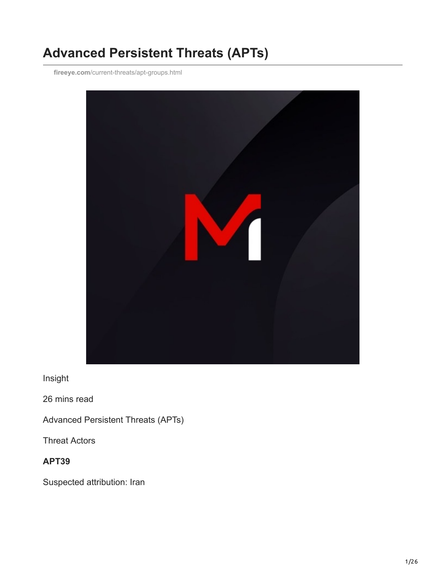# **Advanced Persistent Threats (APTs)**

**fireeye.com**[/current-threats/apt-groups.html](https://www.fireeye.com/current-threats/apt-groups.html)



Insight

26 mins read

Advanced Persistent Threats (APTs)

Threat Actors

**APT39**

Suspected attribution: Iran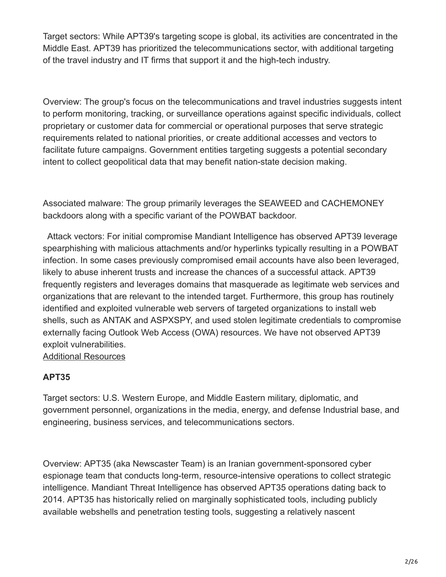Target sectors: While APT39's targeting scope is global, its activities are concentrated in the Middle East. APT39 has prioritized the telecommunications sector, with additional targeting of the travel industry and IT firms that support it and the high-tech industry.

Overview: The group's focus on the telecommunications and travel industries suggests intent to perform monitoring, tracking, or surveillance operations against specific individuals, collect proprietary or customer data for commercial or operational purposes that serve strategic requirements related to national priorities, or create additional accesses and vectors to facilitate future campaigns. Government entities targeting suggests a potential secondary intent to collect geopolitical data that may benefit nation-state decision making.

Associated malware: The group primarily leverages the SEAWEED and CACHEMONEY backdoors along with a specific variant of the POWBAT backdoor.

Attack vectors: For initial compromise Mandiant Intelligence has observed APT39 leverage spearphishing with malicious attachments and/or hyperlinks typically resulting in a POWBAT infection. In some cases previously compromised email accounts have also been leveraged, likely to abuse inherent trusts and increase the chances of a successful attack. APT39 frequently registers and leverages domains that masquerade as legitimate web services and organizations that are relevant to the intended target. Furthermore, this group has routinely identified and exploited vulnerable web servers of targeted organizations to install web shells, such as ANTAK and ASPXSPY, and used stolen legitimate credentials to compromise externally facing Outlook Web Access (OWA) resources. We have not observed APT39 exploit vulnerabilities.

[Additional Resources](https://www.mandiant.com/resources/apt39-iranian-cyber-espionage-group-focused-on-personal-information)

# **APT35**

Target sectors: U.S. Western Europe, and Middle Eastern military, diplomatic, and government personnel, organizations in the media, energy, and defense Industrial base, and engineering, business services, and telecommunications sectors.

Overview: APT35 (aka Newscaster Team) is an Iranian government-sponsored cyber espionage team that conducts long-term, resource-intensive operations to collect strategic intelligence. Mandiant Threat Intelligence has observed APT35 operations dating back to 2014. APT35 has historically relied on marginally sophisticated tools, including publicly available webshells and penetration testing tools, suggesting a relatively nascent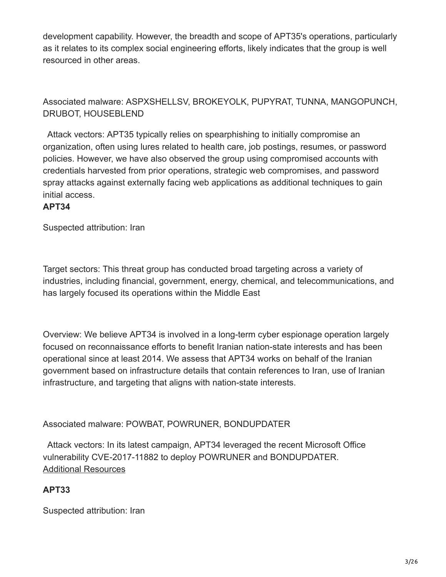development capability. However, the breadth and scope of APT35's operations, particularly as it relates to its complex social engineering efforts, likely indicates that the group is well resourced in other areas.

# Associated malware: ASPXSHELLSV, BROKEYOLK, PUPYRAT, TUNNA, MANGOPUNCH, DRUBOT, HOUSEBLEND

Attack vectors: APT35 typically relies on spearphishing to initially compromise an organization, often using lures related to health care, job postings, resumes, or password policies. However, we have also observed the group using compromised accounts with credentials harvested from prior operations, strategic web compromises, and password spray attacks against externally facing web applications as additional techniques to gain initial access.

# **APT34**

Suspected attribution: Iran

Target sectors: This threat group has conducted broad targeting across a variety of industries, including financial, government, energy, chemical, and telecommunications, and has largely focused its operations within the Middle East

Overview: We believe APT34 is involved in a long-term cyber espionage operation largely focused on reconnaissance efforts to benefit Iranian nation-state interests and has been operational since at least 2014. We assess that APT34 works on behalf of the Iranian government based on infrastructure details that contain references to Iran, use of Iranian infrastructure, and targeting that aligns with nation-state interests.

# Associated malware: POWBAT, POWRUNER, BONDUPDATER

Attack vectors: In its latest campaign, APT34 leveraged the recent Microsoft Office vulnerability CVE-2017-11882 to deploy POWRUNER and BONDUPDATER. [Additional Resources](https://www.mandiant.com/resources/hard-pass-declining-apt34-invite-to-join-their-professional-network)

# **APT33**

Suspected attribution: Iran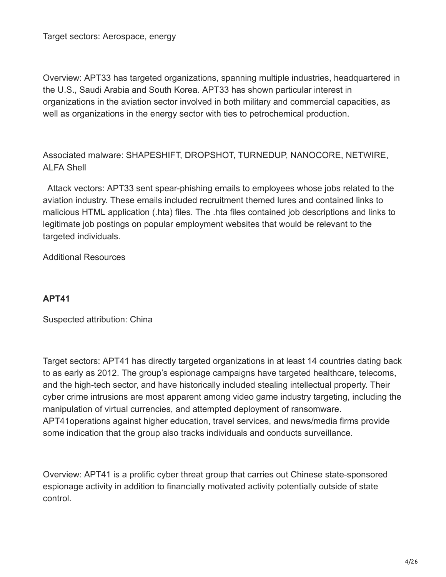Target sectors: Aerospace, energy

Overview: APT33 has targeted organizations, spanning multiple industries, headquartered in the U.S., Saudi Arabia and South Korea. APT33 has shown particular interest in organizations in the aviation sector involved in both military and commercial capacities, as well as organizations in the energy sector with ties to petrochemical production.

Associated malware: SHAPESHIFT, DROPSHOT, TURNEDUP, NANOCORE, NETWIRE, ALFA Shell

Attack vectors: APT33 sent spear-phishing emails to employees whose jobs related to the aviation industry. These emails included recruitment themed lures and contained links to malicious HTML application (.hta) files. The .hta files contained job descriptions and links to legitimate job postings on popular employment websites that would be relevant to the targeted individuals.

#### [Additional Resources](https://www.mandiant.com/resources/apt33-insights-into-iranian-cyber-espionage)

#### **APT41**

Suspected attribution: China

Target sectors: APT41 has directly targeted organizations in at least 14 countries dating back to as early as 2012. The group's espionage campaigns have targeted healthcare, telecoms, and the high-tech sector, and have historically included stealing intellectual property. Their cyber crime intrusions are most apparent among video game industry targeting, including the manipulation of virtual currencies, and attempted deployment of ransomware. APT41operations against higher education, travel services, and news/media firms provide some indication that the group also tracks individuals and conducts surveillance.

Overview: APT41 is a prolific cyber threat group that carries out Chinese state-sponsored espionage activity in addition to financially motivated activity potentially outside of state control.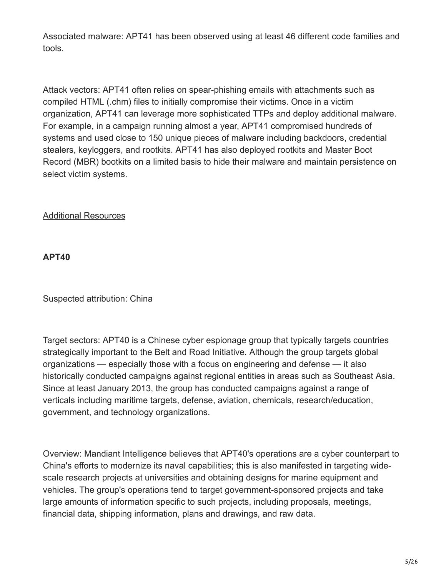Associated malware: APT41 has been observed using at least 46 different code families and tools.

Attack vectors: APT41 often relies on spear-phishing emails with attachments such as compiled HTML (.chm) files to initially compromise their victims. Once in a victim organization, APT41 can leverage more sophisticated TTPs and deploy additional malware. For example, in a campaign running almost a year, APT41 compromised hundreds of systems and used close to 150 unique pieces of malware including backdoors, credential stealers, keyloggers, and rootkits. APT41 has also deployed rootkits and Master Boot Record (MBR) bootkits on a limited basis to hide their malware and maintain persistence on select victim systems.

[Additional Resources](https://www.mandiant.com/resources/apt41-dual-espionage-and-cyber-crime-operation)

**APT40**

Suspected attribution: China

Target sectors: APT40 is a Chinese cyber espionage group that typically targets countries strategically important to the Belt and Road Initiative. Although the group targets global organizations — especially those with a focus on engineering and defense — it also historically conducted campaigns against regional entities in areas such as Southeast Asia. Since at least January 2013, the group has conducted campaigns against a range of verticals including maritime targets, defense, aviation, chemicals, research/education, government, and technology organizations.

Overview: Mandiant Intelligence believes that APT40's operations are a cyber counterpart to China's efforts to modernize its naval capabilities; this is also manifested in targeting widescale research projects at universities and obtaining designs for marine equipment and vehicles. The group's operations tend to target government-sponsored projects and take large amounts of information specific to such projects, including proposals, meetings, financial data, shipping information, plans and drawings, and raw data.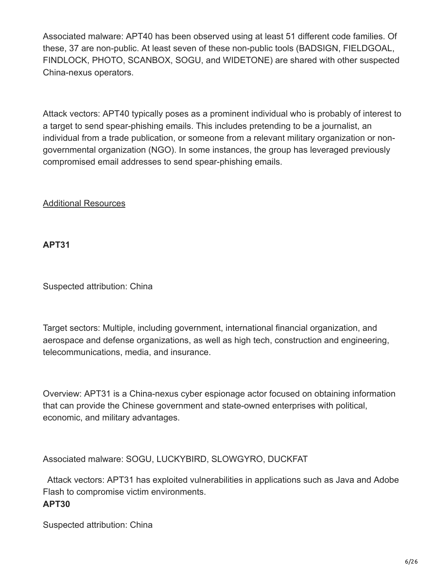Associated malware: APT40 has been observed using at least 51 different code families. Of these, 37 are non-public. At least seven of these non-public tools (BADSIGN, FIELDGOAL, FINDLOCK, PHOTO, SCANBOX, SOGU, and WIDETONE) are shared with other suspected China-nexus operators.

Attack vectors: APT40 typically poses as a prominent individual who is probably of interest to a target to send spear-phishing emails. This includes pretending to be a journalist, an individual from a trade publication, or someone from a relevant military organization or nongovernmental organization (NGO). In some instances, the group has leveraged previously compromised email addresses to send spear-phishing emails.

[Additional Resources](https://www.mandiant.com/resources/apt40-examining-a-china-nexus-espionage-actor)

**APT31**

Suspected attribution: China

Target sectors: Multiple, including government, international financial organization, and aerospace and defense organizations, as well as high tech, construction and engineering, telecommunications, media, and insurance.

Overview: APT31 is a China-nexus cyber espionage actor focused on obtaining information that can provide the Chinese government and state-owned enterprises with political, economic, and military advantages.

Associated malware: SOGU, LUCKYBIRD, SLOWGYRO, DUCKFAT

Attack vectors: APT31 has exploited vulnerabilities in applications such as Java and Adobe Flash to compromise victim environments. **APT30**

Suspected attribution: China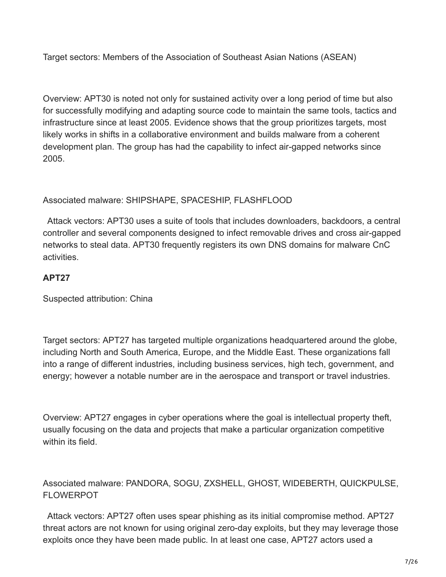Target sectors: Members of the Association of Southeast Asian Nations (ASEAN)

Overview: APT30 is noted not only for sustained activity over a long period of time but also for successfully modifying and adapting source code to maintain the same tools, tactics and infrastructure since at least 2005. Evidence shows that the group prioritizes targets, most likely works in shifts in a collaborative environment and builds malware from a coherent development plan. The group has had the capability to infect air-gapped networks since 2005.

# Associated malware: SHIPSHAPE, SPACESHIP, FLASHFLOOD

Attack vectors: APT30 uses a suite of tools that includes downloaders, backdoors, a central controller and several components designed to infect removable drives and cross air-gapped networks to steal data. APT30 frequently registers its own DNS domains for malware CnC activities.

# **APT27**

Suspected attribution: China

Target sectors: APT27 has targeted multiple organizations headquartered around the globe, including North and South America, Europe, and the Middle East. These organizations fall into a range of different industries, including business services, high tech, government, and energy; however a notable number are in the aerospace and transport or travel industries.

Overview: APT27 engages in cyber operations where the goal is intellectual property theft, usually focusing on the data and projects that make a particular organization competitive within its field.

# Associated malware: PANDORA, SOGU, ZXSHELL, GHOST, WIDEBERTH, QUICKPULSE, FLOWERPOT

Attack vectors: APT27 often uses spear phishing as its initial compromise method. APT27 threat actors are not known for using original zero-day exploits, but they may leverage those exploits once they have been made public. In at least one case, APT27 actors used a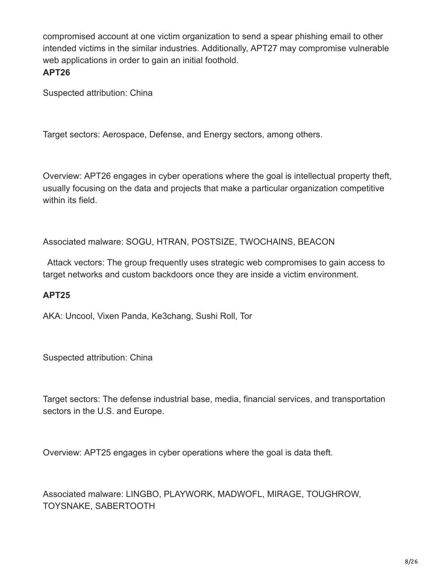compromised account at one victim organization to send a spear phishing email to other intended victims in the similar industries. Additionally, APT27 may compromise vulnerable web applications in order to gain an initial foothold.

## **APT26**

Suspected attribution: China

Target sectors: Aerospace, Defense, and Energy sectors, among others.

Overview: APT26 engages in cyber operations where the goal is intellectual property theft, usually focusing on the data and projects that make a particular organization competitive within its field.

Associated malware: SOGU, HTRAN, POSTSIZE, TWOCHAINS, BEACON

Attack vectors: The group frequently uses strategic web compromises to gain access to target networks and custom backdoors once they are inside a victim environment.

# **APT25**

AKA: Uncool, Vixen Panda, Ke3chang, Sushi Roll, Tor

Suspected attribution: China

Target sectors: The defense industrial base, media, financial services, and transportation sectors in the U.S. and Europe.

Overview: APT25 engages in cyber operations where the goal is data theft.

Associated malware: LINGBO, PLAYWORK, MADWOFL, MIRAGE, TOUGHROW, TOYSNAKE, SABERTOOTH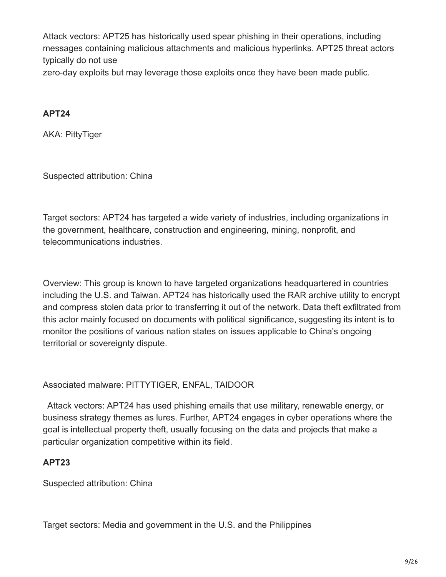Attack vectors: APT25 has historically used spear phishing in their operations, including messages containing malicious attachments and malicious hyperlinks. APT25 threat actors typically do not use

zero-day exploits but may leverage those exploits once they have been made public.

# **APT24**

AKA: PittyTiger

Suspected attribution: China

Target sectors: APT24 has targeted a wide variety of industries, including organizations in the government, healthcare, construction and engineering, mining, nonprofit, and telecommunications industries.

Overview: This group is known to have targeted organizations headquartered in countries including the U.S. and Taiwan. APT24 has historically used the RAR archive utility to encrypt and compress stolen data prior to transferring it out of the network. Data theft exfiltrated from this actor mainly focused on documents with political significance, suggesting its intent is to monitor the positions of various nation states on issues applicable to China's ongoing territorial or sovereignty dispute.

# Associated malware: PITTYTIGER, ENFAL, TAIDOOR

Attack vectors: APT24 has used phishing emails that use military, renewable energy, or business strategy themes as lures. Further, APT24 engages in cyber operations where the goal is intellectual property theft, usually focusing on the data and projects that make a particular organization competitive within its field.

# **APT23**

Suspected attribution: China

Target sectors: Media and government in the U.S. and the Philippines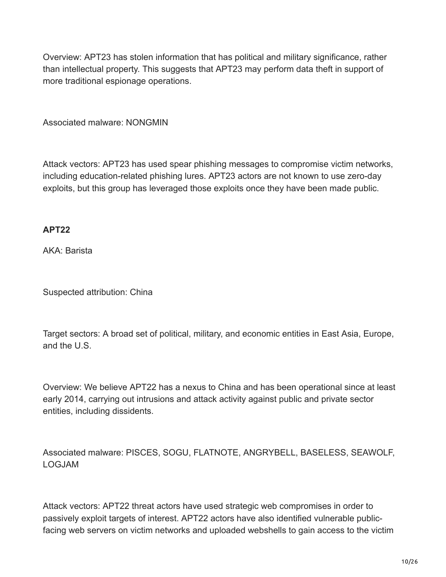Overview: APT23 has stolen information that has political and military significance, rather than intellectual property. This suggests that APT23 may perform data theft in support of more traditional espionage operations.

Associated malware: NONGMIN

Attack vectors: APT23 has used spear phishing messages to compromise victim networks, including education-related phishing lures. APT23 actors are not known to use zero-day exploits, but this group has leveraged those exploits once they have been made public.

## **APT22**

AKA: Barista

Suspected attribution: China

Target sectors: A broad set of political, military, and economic entities in East Asia, Europe, and the U.S.

Overview: We believe APT22 has a nexus to China and has been operational since at least early 2014, carrying out intrusions and attack activity against public and private sector entities, including dissidents.

Associated malware: PISCES, SOGU, FLATNOTE, ANGRYBELL, BASELESS, SEAWOLF, LOGJAM

Attack vectors: APT22 threat actors have used strategic web compromises in order to passively exploit targets of interest. APT22 actors have also identified vulnerable publicfacing web servers on victim networks and uploaded webshells to gain access to the victim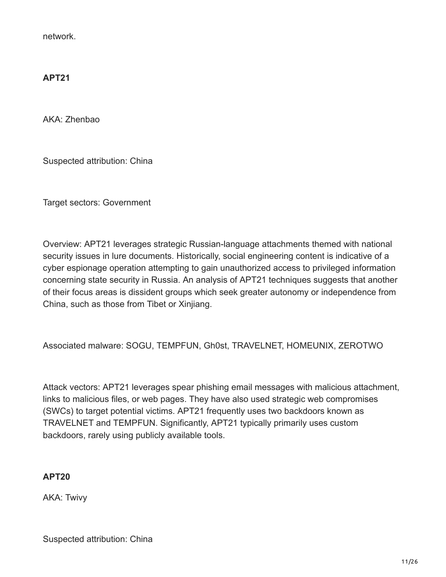network.

# **APT21**

AKA: Zhenbao

Suspected attribution: China

Target sectors: Government

Overview: APT21 leverages strategic Russian-language attachments themed with national security issues in lure documents. Historically, social engineering content is indicative of a cyber espionage operation attempting to gain unauthorized access to privileged information concerning state security in Russia. An analysis of APT21 techniques suggests that another of their focus areas is dissident groups which seek greater autonomy or independence from China, such as those from Tibet or Xinjiang.

Associated malware: SOGU, TEMPFUN, Gh0st, TRAVELNET, HOMEUNIX, ZEROTWO

Attack vectors: APT21 leverages spear phishing email messages with malicious attachment, links to malicious files, or web pages. They have also used strategic web compromises (SWCs) to target potential victims. APT21 frequently uses two backdoors known as TRAVELNET and TEMPFUN. Significantly, APT21 typically primarily uses custom backdoors, rarely using publicly available tools.

## **APT20**

AKA: Twivy

Suspected attribution: China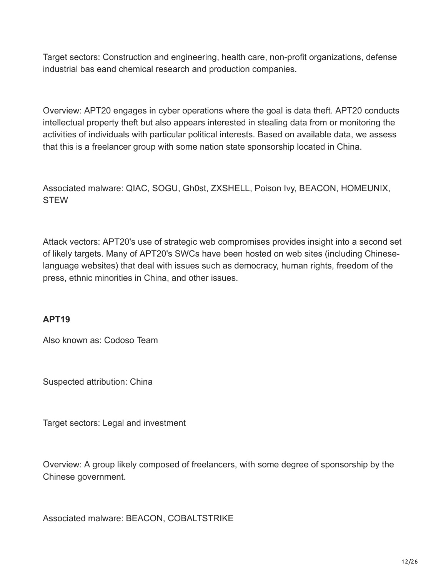Target sectors: Construction and engineering, health care, non-profit organizations, defense industrial bas eand chemical research and production companies.

Overview: APT20 engages in cyber operations where the goal is data theft. APT20 conducts intellectual property theft but also appears interested in stealing data from or monitoring the activities of individuals with particular political interests. Based on available data, we assess that this is a freelancer group with some nation state sponsorship located in China.

Associated malware: QIAC, SOGU, Gh0st, ZXSHELL, Poison Ivy, BEACON, HOMEUNIX, **STEW** 

Attack vectors: APT20's use of strategic web compromises provides insight into a second set of likely targets. Many of APT20's SWCs have been hosted on web sites (including Chineselanguage websites) that deal with issues such as democracy, human rights, freedom of the press, ethnic minorities in China, and other issues.

# **APT19**

Also known as: Codoso Team

Suspected attribution: China

Target sectors: Legal and investment

Overview: A group likely composed of freelancers, with some degree of sponsorship by the Chinese government.

Associated malware: BEACON, COBALTSTRIKE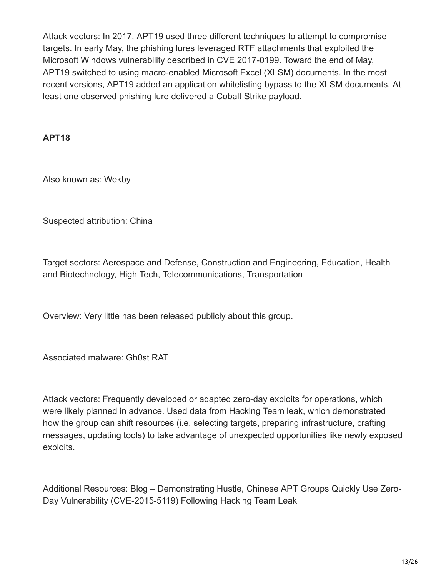Attack vectors: In 2017, APT19 used three different techniques to attempt to compromise targets. In early May, the phishing lures leveraged RTF attachments that exploited the Microsoft Windows vulnerability described in CVE 2017-0199. Toward the end of May, APT19 switched to using macro-enabled Microsoft Excel (XLSM) documents. In the most recent versions, APT19 added an application whitelisting bypass to the XLSM documents. At least one observed phishing lure delivered a Cobalt Strike payload.

## **APT18**

Also known as: Wekby

Suspected attribution: China

Target sectors: Aerospace and Defense, Construction and Engineering, Education, Health and Biotechnology, High Tech, Telecommunications, Transportation

Overview: Very little has been released publicly about this group.

Associated malware: Gh0st RAT

Attack vectors: Frequently developed or adapted zero-day exploits for operations, which were likely planned in advance. Used data from Hacking Team leak, which demonstrated how the group can shift resources (i.e. selecting targets, preparing infrastructure, crafting messages, updating tools) to take advantage of unexpected opportunities like newly exposed exploits.

Additional Resources: Blog – Demonstrating Hustle, Chinese APT Groups Quickly Use Zero-Day Vulnerability (CVE-2015-5119) Following Hacking Team Leak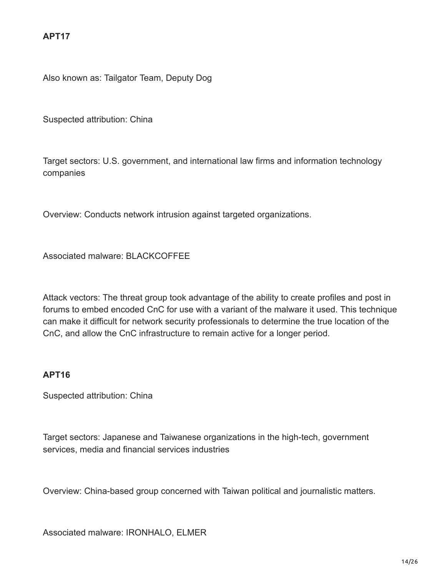Also known as: Tailgator Team, Deputy Dog

Suspected attribution: China

Target sectors: U.S. government, and international law firms and information technology companies

Overview: Conducts network intrusion against targeted organizations.

Associated malware: BLACKCOFFEE

Attack vectors: The threat group took advantage of the ability to create profiles and post in forums to embed encoded CnC for use with a variant of the malware it used. This technique can make it difficult for network security professionals to determine the true location of the CnC, and allow the CnC infrastructure to remain active for a longer period.

#### **APT16**

Suspected attribution: China

Target sectors: Japanese and Taiwanese organizations in the high-tech, government services, media and financial services industries

Overview: China-based group concerned with Taiwan political and journalistic matters.

Associated malware: IRONHALO, ELMER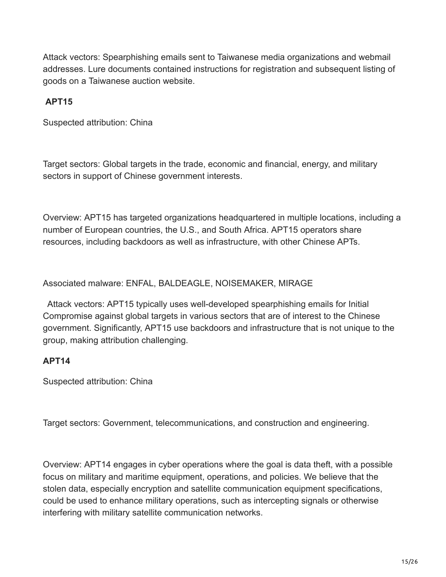Attack vectors: Spearphishing emails sent to Taiwanese media organizations and webmail addresses. Lure documents contained instructions for registration and subsequent listing of goods on a Taiwanese auction website.

# **APT15**

Suspected attribution: China

Target sectors: Global targets in the trade, economic and financial, energy, and military sectors in support of Chinese government interests.

Overview: APT15 has targeted organizations headquartered in multiple locations, including a number of European countries, the U.S., and South Africa. APT15 operators share resources, including backdoors as well as infrastructure, with other Chinese APTs.

Associated malware: ENFAL, BALDEAGLE, NOISEMAKER, MIRAGE

Attack vectors: APT15 typically uses well-developed spearphishing emails for Initial Compromise against global targets in various sectors that are of interest to the Chinese government. Significantly, APT15 use backdoors and infrastructure that is not unique to the group, making attribution challenging.

#### **APT14**

Suspected attribution: China

Target sectors: Government, telecommunications, and construction and engineering.

Overview: APT14 engages in cyber operations where the goal is data theft, with a possible focus on military and maritime equipment, operations, and policies. We believe that the stolen data, especially encryption and satellite communication equipment specifications, could be used to enhance military operations, such as intercepting signals or otherwise interfering with military satellite communication networks.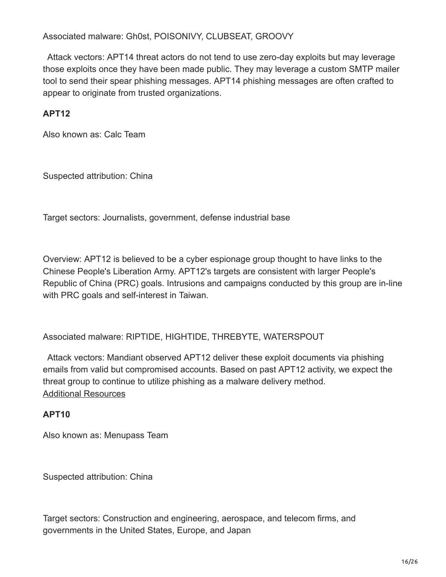Associated malware: Gh0st, POISONIVY, CLUBSEAT, GROOVY

Attack vectors: APT14 threat actors do not tend to use zero-day exploits but may leverage those exploits once they have been made public. They may leverage a custom SMTP mailer tool to send their spear phishing messages. APT14 phishing messages are often crafted to appear to originate from trusted organizations.

# **APT12**

Also known as: Calc Team

Suspected attribution: China

Target sectors: Journalists, government, defense industrial base

Overview: APT12 is believed to be a cyber espionage group thought to have links to the Chinese People's Liberation Army. APT12's targets are consistent with larger People's Republic of China (PRC) goals. Intrusions and campaigns conducted by this group are in-line with PRC goals and self-interest in Taiwan.

Associated malware: RIPTIDE, HIGHTIDE, THREBYTE, WATERSPOUT

Attack vectors: Mandiant observed APT12 deliver these exploit documents via phishing emails from valid but compromised accounts. Based on past APT12 activity, we expect the threat group to continue to utilize phishing as a malware delivery method. [Additional Resources](https://www.mandiant.com/resources/darwins-favorite-apt-group-2)

# **APT10**

Also known as: Menupass Team

Suspected attribution: China

Target sectors: Construction and engineering, aerospace, and telecom firms, and governments in the United States, Europe, and Japan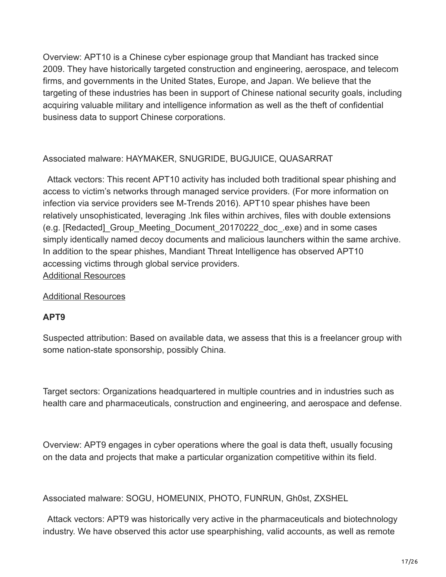Overview: APT10 is a Chinese cyber espionage group that Mandiant has tracked since 2009. They have historically targeted construction and engineering, aerospace, and telecom firms, and governments in the United States, Europe, and Japan. We believe that the targeting of these industries has been in support of Chinese national security goals, including acquiring valuable military and intelligence information as well as the theft of confidential business data to support Chinese corporations.

## Associated malware: HAYMAKER, SNUGRIDE, BUGJUICE, QUASARRAT

Attack vectors: This recent APT10 activity has included both traditional spear phishing and access to victim's networks through managed service providers. (For more information on infection via service providers see M-Trends 2016). APT10 spear phishes have been relatively unsophisticated, leveraging .lnk files within archives, files with double extensions (e.g. [Redacted]\_Group\_Meeting\_Document\_20170222\_doc\_.exe) and in some cases simply identically named decoy documents and malicious launchers within the same archive. In addition to the spear phishes, Mandiant Threat Intelligence has observed APT10 accessing victims through global service providers. [Additional Resources](https://www.mandiant.com/resources/apt10-targeting-japanese-corporations-using-updated-ttps)

#### [Additional Resources](https://www.mandiant.com/resources/apt10-menupass-group)

#### **APT9**

Suspected attribution: Based on available data, we assess that this is a freelancer group with some nation-state sponsorship, possibly China.

Target sectors: Organizations headquartered in multiple countries and in industries such as health care and pharmaceuticals, construction and engineering, and aerospace and defense.

Overview: APT9 engages in cyber operations where the goal is data theft, usually focusing on the data and projects that make a particular organization competitive within its field.

Associated malware: SOGU, HOMEUNIX, PHOTO, FUNRUN, Gh0st, ZXSHEL

Attack vectors: APT9 was historically very active in the pharmaceuticals and biotechnology industry. We have observed this actor use spearphishing, valid accounts, as well as remote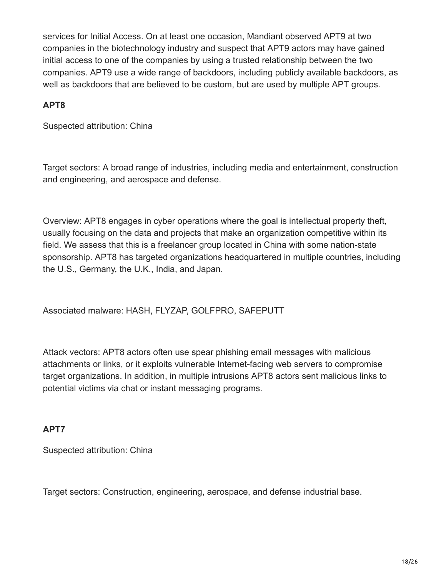services for Initial Access. On at least one occasion, Mandiant observed APT9 at two companies in the biotechnology industry and suspect that APT9 actors may have gained initial access to one of the companies by using a trusted relationship between the two companies. APT9 use a wide range of backdoors, including publicly available backdoors, as well as backdoors that are believed to be custom, but are used by multiple APT groups.

## **APT8**

Suspected attribution: China

Target sectors: A broad range of industries, including media and entertainment, construction and engineering, and aerospace and defense.

Overview: APT8 engages in cyber operations where the goal is intellectual property theft, usually focusing on the data and projects that make an organization competitive within its field. We assess that this is a freelancer group located in China with some nation-state sponsorship. APT8 has targeted organizations headquartered in multiple countries, including the U.S., Germany, the U.K., India, and Japan.

Associated malware: HASH, FLYZAP, GOLFPRO, SAFEPUTT

Attack vectors: APT8 actors often use spear phishing email messages with malicious attachments or links, or it exploits vulnerable Internet-facing web servers to compromise target organizations. In addition, in multiple intrusions APT8 actors sent malicious links to potential victims via chat or instant messaging programs.

# **APT7**

Suspected attribution: China

Target sectors: Construction, engineering, aerospace, and defense industrial base.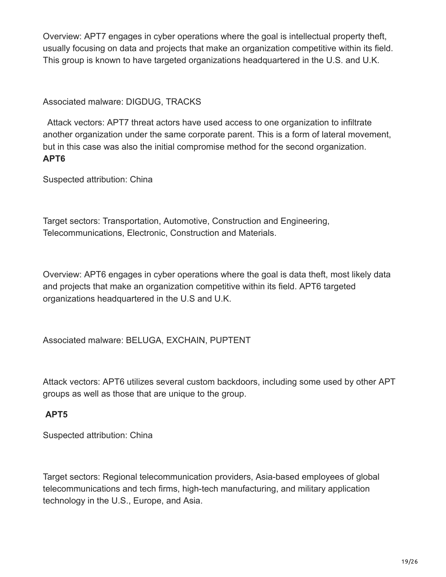Overview: APT7 engages in cyber operations where the goal is intellectual property theft, usually focusing on data and projects that make an organization competitive within its field. This group is known to have targeted organizations headquartered in the U.S. and U.K.

Associated malware: DIGDUG, TRACKS

Attack vectors: APT7 threat actors have used access to one organization to infiltrate another organization under the same corporate parent. This is a form of lateral movement, but in this case was also the initial compromise method for the second organization. **APT6**

Suspected attribution: China

Target sectors: Transportation, Automotive, Construction and Engineering, Telecommunications, Electronic, Construction and Materials.

Overview: APT6 engages in cyber operations where the goal is data theft, most likely data and projects that make an organization competitive within its field. APT6 targeted organizations headquartered in the U.S and U.K.

Associated malware: BELUGA, EXCHAIN, PUPTENT

Attack vectors: APT6 utilizes several custom backdoors, including some used by other APT groups as well as those that are unique to the group.

# **APT5**

Suspected attribution: China

Target sectors: Regional telecommunication providers, Asia-based employees of global telecommunications and tech firms, high-tech manufacturing, and military application technology in the U.S., Europe, and Asia.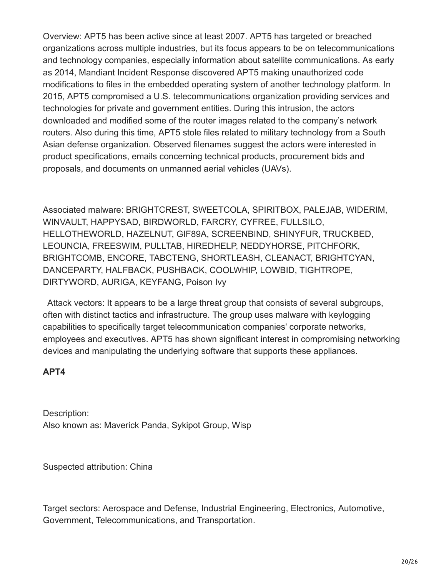Overview: APT5 has been active since at least 2007. APT5 has targeted or breached organizations across multiple industries, but its focus appears to be on telecommunications and technology companies, especially information about satellite communications. As early as 2014, Mandiant Incident Response discovered APT5 making unauthorized code modifications to files in the embedded operating system of another technology platform. In 2015, APT5 compromised a U.S. telecommunications organization providing services and technologies for private and government entities. During this intrusion, the actors downloaded and modified some of the router images related to the company's network routers. Also during this time, APT5 stole files related to military technology from a South Asian defense organization. Observed filenames suggest the actors were interested in product specifications, emails concerning technical products, procurement bids and proposals, and documents on unmanned aerial vehicles (UAVs).

Associated malware: BRIGHTCREST, SWEETCOLA, SPIRITBOX, PALEJAB, WIDERIM, WINVAULT, HAPPYSAD, BIRDWORLD, FARCRY, CYFREE, FULLSILO, HELLOTHEWORLD, HAZELNUT, GIF89A, SCREENBIND, SHINYFUR, TRUCKBED, LEOUNCIA, FREESWIM, PULLTAB, HIREDHELP, NEDDYHORSE, PITCHFORK, BRIGHTCOMB, ENCORE, TABCTENG, SHORTLEASH, CLEANACT, BRIGHTCYAN, DANCEPARTY, HALFBACK, PUSHBACK, COOLWHIP, LOWBID, TIGHTROPE, DIRTYWORD, AURIGA, KEYFANG, Poison Ivy

Attack vectors: It appears to be a large threat group that consists of several subgroups, often with distinct tactics and infrastructure. The group uses malware with keylogging capabilities to specifically target telecommunication companies' corporate networks, employees and executives. APT5 has shown significant interest in compromising networking devices and manipulating the underlying software that supports these appliances.

#### **APT4**

Description: Also known as: Maverick Panda, Sykipot Group, Wisp

Suspected attribution: China

Target sectors: Aerospace and Defense, Industrial Engineering, Electronics, Automotive, Government, Telecommunications, and Transportation.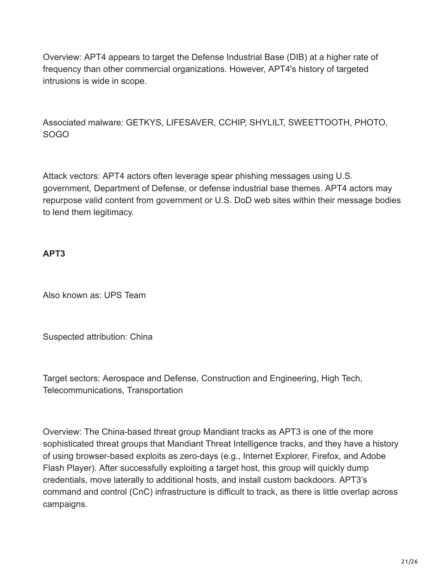Overview: APT4 appears to target the Defense Industrial Base (DIB) at a higher rate of frequency than other commercial organizations. However, APT4's history of targeted intrusions is wide in scope.

Associated malware: GETKYS, LIFESAVER, CCHIP, SHYLILT, SWEETTOOTH, PHOTO, SOGO

Attack vectors: APT4 actors often leverage spear phishing messages using U.S. government, Department of Defense, or defense industrial base themes. APT4 actors may repurpose valid content from government or U.S. DoD web sites within their message bodies to lend them legitimacy.

# **APT3**

Also known as: UPS Team

Suspected attribution: China

Target sectors: Aerospace and Defense, Construction and Engineering, High Tech, Telecommunications, Transportation

Overview: The China-based threat group Mandiant tracks as APT3 is one of the more sophisticated threat groups that Mandiant Threat Intelligence tracks, and they have a history of using browser-based exploits as zero-days (e.g., Internet Explorer, Firefox, and Adobe Flash Player). After successfully exploiting a target host, this group will quickly dump credentials, move laterally to additional hosts, and install custom backdoors. APT3's command and control (CnC) infrastructure is difficult to track, as there is little overlap across campaigns.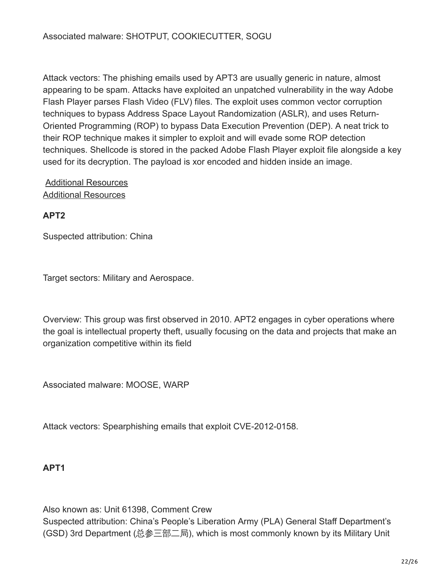Attack vectors: The phishing emails used by APT3 are usually generic in nature, almost appearing to be spam. Attacks have exploited an unpatched vulnerability in the way Adobe Flash Player parses Flash Video (FLV) files. The exploit uses common vector corruption techniques to bypass Address Space Layout Randomization (ASLR), and uses Return-Oriented Programming (ROP) to bypass Data Execution Prevention (DEP). A neat trick to their ROP technique makes it simpler to exploit and will evade some ROP detection techniques. Shellcode is stored in the packed Adobe Flash Player exploit file alongside a key used for its decryption. The payload is xor encoded and hidden inside an image.

## [Additional Resources](https://www.mandiant.com/resources/demonstrating-hustle) [Additional Resources](https://www.mandiant.com/resources/operation-clandestine-wolf-adobe-flash-zero-day)

**APT2**

Suspected attribution: China

Target sectors: Military and Aerospace.

Overview: This group was first observed in 2010. APT2 engages in cyber operations where the goal is intellectual property theft, usually focusing on the data and projects that make an organization competitive within its field

Associated malware: MOOSE, WARP

Attack vectors: Spearphishing emails that exploit CVE-2012-0158.

# **APT1**

Also known as: Unit 61398, Comment Crew Suspected attribution: China's People's Liberation Army (PLA) General Staff Department's (GSD) 3rd Department (总参三部二局), which is most commonly known by its Military Unit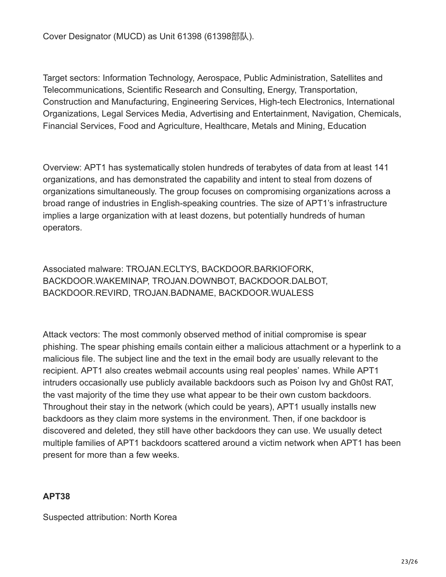Cover Designator (MUCD) as Unit 61398 (61398部队).

Target sectors: Information Technology, Aerospace, Public Administration, Satellites and Telecommunications, Scientific Research and Consulting, Energy, Transportation, Construction and Manufacturing, Engineering Services, High-tech Electronics, International Organizations, Legal Services Media, Advertising and Entertainment, Navigation, Chemicals, Financial Services, Food and Agriculture, Healthcare, Metals and Mining, Education

Overview: APT1 has systematically stolen hundreds of terabytes of data from at least 141 organizations, and has demonstrated the capability and intent to steal from dozens of organizations simultaneously. The group focuses on compromising organizations across a broad range of industries in English-speaking countries. The size of APT1's infrastructure implies a large organization with at least dozens, but potentially hundreds of human operators.

Associated malware: TROJAN.ECLTYS, BACKDOOR.BARKIOFORK, BACKDOOR.WAKEMINAP, TROJAN.DOWNBOT, BACKDOOR.DALBOT, BACKDOOR.REVIRD, TROJAN.BADNAME, BACKDOOR.WUALESS

Attack vectors: The most commonly observed method of initial compromise is spear phishing. The spear phishing emails contain either a malicious attachment or a hyperlink to a malicious file. The subject line and the text in the email body are usually relevant to the recipient. APT1 also creates webmail accounts using real peoples' names. While APT1 intruders occasionally use publicly available backdoors such as Poison Ivy and Gh0st RAT, the vast majority of the time they use what appear to be their own custom backdoors. Throughout their stay in the network (which could be years), APT1 usually installs new backdoors as they claim more systems in the environment. Then, if one backdoor is discovered and deleted, they still have other backdoors they can use. We usually detect multiple families of APT1 backdoors scattered around a victim network when APT1 has been present for more than a few weeks.

# **APT38**

Suspected attribution: North Korea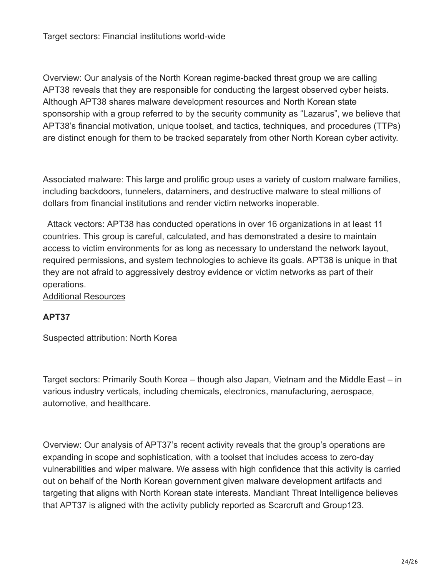Overview: Our analysis of the North Korean regime-backed threat group we are calling APT38 reveals that they are responsible for conducting the largest observed cyber heists. Although APT38 shares malware development resources and North Korean state sponsorship with a group referred to by the security community as "Lazarus", we believe that APT38's financial motivation, unique toolset, and tactics, techniques, and procedures (TTPs) are distinct enough for them to be tracked separately from other North Korean cyber activity.

Associated malware: This large and prolific group uses a variety of custom malware families, including backdoors, tunnelers, dataminers, and destructive malware to steal millions of dollars from financial institutions and render victim networks inoperable.

Attack vectors: APT38 has conducted operations in over 16 organizations in at least 11 countries. This group is careful, calculated, and has demonstrated a desire to maintain access to victim environments for as long as necessary to understand the network layout, required permissions, and system technologies to achieve its goals. APT38 is unique in that they are not afraid to aggressively destroy evidence or victim networks as part of their operations.

#### [Additional Resources](https://www.mandiant.com/resources/apt38-details-on-new-north-korean-regime-backed-threat-group)

#### **APT37**

Suspected attribution: North Korea

Target sectors: Primarily South Korea – though also Japan, Vietnam and the Middle East – in various industry verticals, including chemicals, electronics, manufacturing, aerospace, automotive, and healthcare.

Overview: Our analysis of APT37's recent activity reveals that the group's operations are expanding in scope and sophistication, with a toolset that includes access to zero-day vulnerabilities and wiper malware. We assess with high confidence that this activity is carried out on behalf of the North Korean government given malware development artifacts and targeting that aligns with North Korean state interests. Mandiant Threat Intelligence believes that APT37 is aligned with the activity publicly reported as Scarcruft and Group123.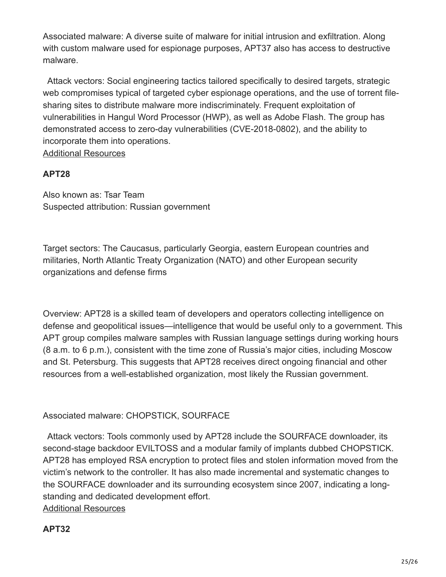Associated malware: A diverse suite of malware for initial intrusion and exfiltration. Along with custom malware used for espionage purposes, APT37 also has access to destructive malware.

Attack vectors: Social engineering tactics tailored specifically to desired targets, strategic web compromises typical of targeted cyber espionage operations, and the use of torrent filesharing sites to distribute malware more indiscriminately. Frequent exploitation of vulnerabilities in Hangul Word Processor (HWP), as well as Adobe Flash. The group has demonstrated access to zero-day vulnerabilities (CVE-2018-0802), and the ability to incorporate them into operations. [Additional Resources](https://www.mandiant.com/resources/apt37-overlooked-north-korean-actor)

# **APT28**

Also known as: Tsar Team Suspected attribution: Russian government

Target sectors: The Caucasus, particularly Georgia, eastern European countries and militaries, North Atlantic Treaty Organization (NATO) and other European security organizations and defense firms

Overview: APT28 is a skilled team of developers and operators collecting intelligence on defense and geopolitical issues—intelligence that would be useful only to a government. This APT group compiles malware samples with Russian language settings during working hours (8 a.m. to 6 p.m.), consistent with the time zone of Russia's major cities, including Moscow and St. Petersburg. This suggests that APT28 receives direct ongoing financial and other resources from a well-established organization, most likely the Russian government.

Associated malware: CHOPSTICK, SOURFACE

Attack vectors: Tools commonly used by APT28 include the SOURFACE downloader, its second-stage backdoor EVILTOSS and a modular family of implants dubbed CHOPSTICK. APT28 has employed RSA encryption to protect files and stolen information moved from the victim's network to the controller. It has also made incremental and systematic changes to the SOURFACE downloader and its surrounding ecosystem since 2007, indicating a longstanding and dedicated development effort. [Additional Resources](https://www.mandiant.com/resources/apt28-a-window-into-russias-cyber-espionage-operations)

# **APT32**